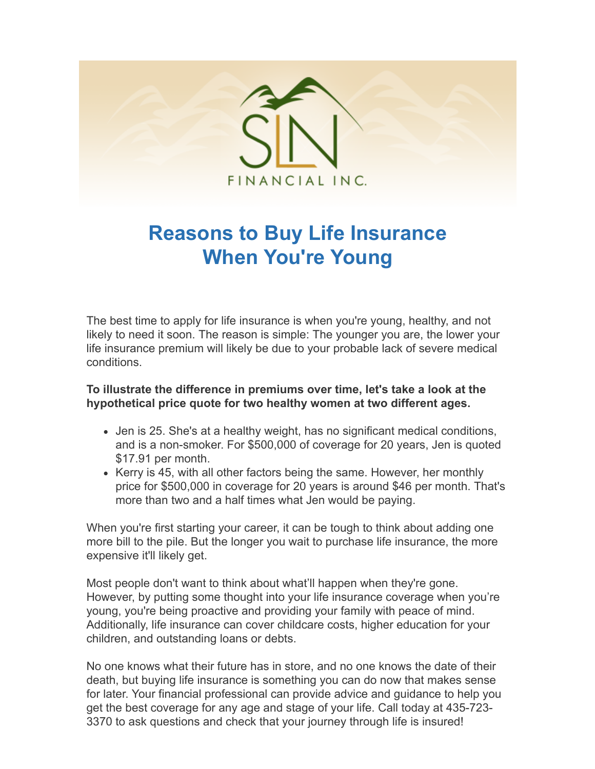

## **Reasons to Buy Life Insurance When You're Young**

The best time to apply for life insurance is when you're young, healthy, and not likely to need it soon. The reason is simple: The younger you are, the lower your life insurance premium will likely be due to your probable lack of severe medical conditions.

## **To illustrate the difference in premiums over time, let's take a look at the hypothetical price quote for two healthy women at two different ages.**

- Jen is 25. She's at a healthy weight, has no significant medical conditions, and is a non-smoker. For \$500,000 of coverage for 20 years, Jen is quoted \$17.91 per month.
- $\bullet$  Kerry is 45, with all other factors being the same. However, her monthly price for \$500,000 in coverage for 20 years is around \$46 per month. That's more than two and a half times what Jen would be paying.

When you're first starting your career, it can be tough to think about adding one more bill to the pile. But the longer you wait to purchase life insurance, the more expensive it'll likely get.

Most people don't want to think about what'll happen when they're gone. However, by putting some thought into your life insurance coverage when you're young, you're being proactive and providing your family with peace of mind. Additionally, life insurance can cover childcare costs, higher education for your children, and outstanding loans or debts.

No one knows what their future has in store, and no one knows the date of their death, but buying life insurance is something you can do now that makes sense for later. Your financial professional can provide advice and guidance to help you get the best coverage for any age and stage of your life. Call today at 435-723- 3370 to ask questions and check that your journey through life is insured!